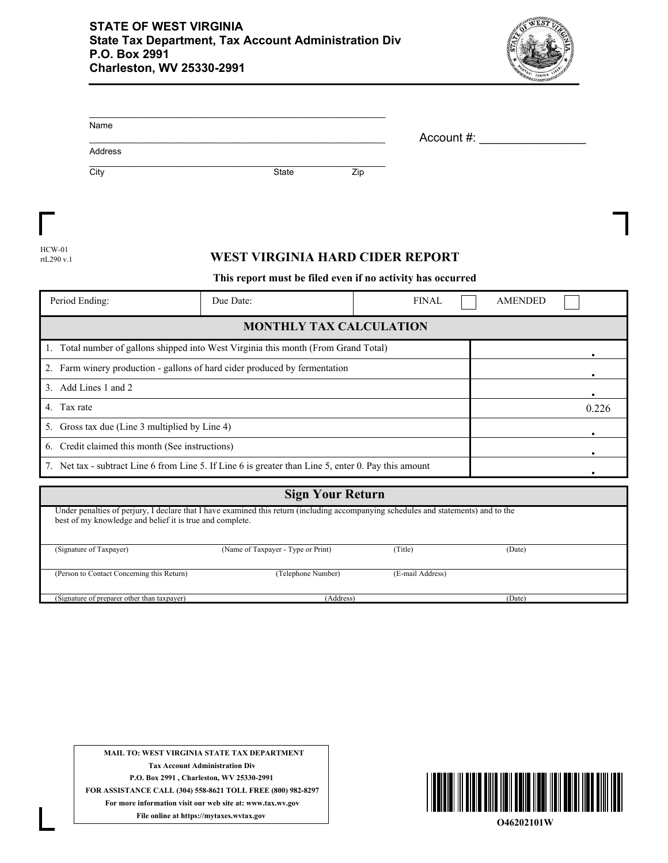\_\_\_\_\_\_\_\_\_\_\_\_\_\_\_\_\_\_\_\_\_\_\_\_\_\_\_\_\_\_\_\_\_\_\_\_\_\_\_\_\_\_\_\_\_\_\_\_\_\_\_\_\_\_\_\_\_\_\_\_\_



| Name                                                     |                                                                                                                                     |         | Account #:   |                |       |
|----------------------------------------------------------|-------------------------------------------------------------------------------------------------------------------------------------|---------|--------------|----------------|-------|
| <b>Address</b>                                           |                                                                                                                                     |         |              |                |       |
| City                                                     | State                                                                                                                               | Zip     |              |                |       |
|                                                          |                                                                                                                                     |         |              |                |       |
|                                                          |                                                                                                                                     |         |              |                |       |
|                                                          |                                                                                                                                     |         |              |                |       |
| $HCW-01$<br>rtL290 v.1                                   | WEST VIRGINIA HARD CIDER REPORT                                                                                                     |         |              |                |       |
|                                                          | This report must be filed even if no activity has occurred                                                                          |         |              |                |       |
| Period Ending:                                           | Due Date:                                                                                                                           |         | <b>FINAL</b> | <b>AMENDED</b> |       |
|                                                          | <b>MONTHLY TAX CALCULATION</b>                                                                                                      |         |              |                |       |
|                                                          | 1. Total number of gallons shipped into West Virginia this month (From Grand Total)                                                 |         |              |                |       |
|                                                          | 2. Farm winery production - gallons of hard cider produced by fermentation                                                          |         |              |                |       |
| 3. Add Lines 1 and 2                                     |                                                                                                                                     |         |              |                |       |
| 4. Tax rate                                              |                                                                                                                                     |         |              |                | 0.226 |
| 5. Gross tax due (Line 3 multiplied by Line 4)           |                                                                                                                                     |         |              |                |       |
| 6. Credit claimed this month (See instructions)          |                                                                                                                                     |         |              |                |       |
|                                                          | 7. Net tax - subtract Line 6 from Line 5. If Line 6 is greater than Line 5, enter 0. Pay this amount                                |         |              |                |       |
|                                                          | <b>Sign Your Return</b>                                                                                                             |         |              |                |       |
| best of my knowledge and belief it is true and complete. | Under penalties of perjury, I declare that I have examined this return (including accompanying schedules and statements) and to the |         |              |                |       |
| (Signature of Taxpayer)                                  | (Name of Taxpayer - Type or Print)                                                                                                  | (Title) |              | (Date)         |       |

(Signature of preparer other than taxpayer) (Address) (Date)

(E-mail Address)

**MAIL TO: WEST VIRGINIA STATE TAX DEPARTMENT Tax Account Administration Div P.O. Box 2991 , Charleston, WV 25330-2991 FOR ASSISTANCE CALL (304) 558-8621 TOLL FREE (800) 982-8297 For more information visit our web site at: www.tax.wv.gov File online at https://mytaxes.wvtax.gov**

(Person to Contact Concerning this Return) (Telephone Number)

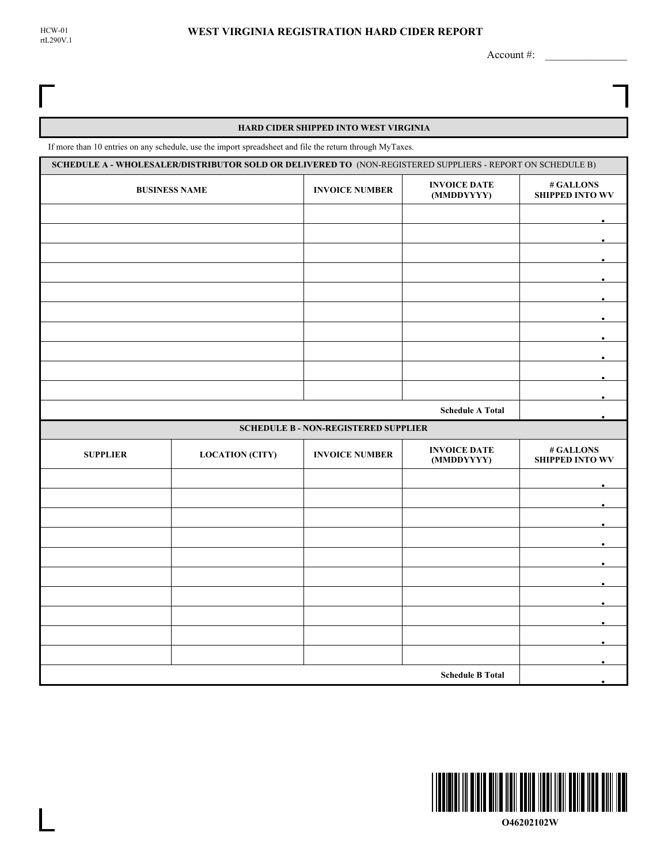## **WEST VIRGINIA REGISTRATION HARD CIDER REPORT**

Account #:

 $\mathcal{L}=\mathcal{L}^{\mathcal{L}}$ 

## **HARD CIDER SHIPPED INTO WEST VIRGINIA**

If more than 10 entries on any schedule, use the import spreadsheet and file the return through MyTaxes.

| SCHEDULE A - WHOLESALER/DISTRIBUTOR SOLD OR DELIVERED TO (NON-REGISTERED SUPPLIERS - REPORT ON SCHEDULE B) |                        |                       |                                   |                                        |  |  |
|------------------------------------------------------------------------------------------------------------|------------------------|-----------------------|-----------------------------------|----------------------------------------|--|--|
| <b>BUSINESS NAME</b>                                                                                       |                        | <b>INVOICE NUMBER</b> | <b>INVOICE DATE</b><br>(MMDDYYYY) | # GALLONS<br><b>SHIPPED INTO WV</b>    |  |  |
|                                                                                                            |                        |                       |                                   |                                        |  |  |
|                                                                                                            |                        |                       |                                   |                                        |  |  |
|                                                                                                            |                        |                       |                                   |                                        |  |  |
|                                                                                                            |                        |                       |                                   |                                        |  |  |
|                                                                                                            |                        |                       |                                   |                                        |  |  |
|                                                                                                            |                        |                       |                                   |                                        |  |  |
|                                                                                                            |                        |                       |                                   |                                        |  |  |
|                                                                                                            |                        |                       |                                   |                                        |  |  |
|                                                                                                            |                        |                       |                                   |                                        |  |  |
|                                                                                                            |                        |                       |                                   |                                        |  |  |
|                                                                                                            |                        |                       | <b>Schedule A Total</b>           |                                        |  |  |
| <b>SCHEDULE B - NON-REGISTERED SUPPLIER</b>                                                                |                        |                       |                                   |                                        |  |  |
| <b>SUPPLIER</b>                                                                                            | <b>LOCATION (CITY)</b> | <b>INVOICE NUMBER</b> | <b>INVOICE DATE</b><br>(MMDDYYYY) | $\#$ GALLONS<br><b>SHIPPED INTO WV</b> |  |  |
|                                                                                                            |                        |                       |                                   |                                        |  |  |
|                                                                                                            |                        |                       |                                   |                                        |  |  |
|                                                                                                            |                        |                       |                                   |                                        |  |  |
|                                                                                                            |                        |                       |                                   |                                        |  |  |
|                                                                                                            |                        |                       |                                   |                                        |  |  |
|                                                                                                            |                        |                       |                                   |                                        |  |  |
|                                                                                                            |                        |                       |                                   |                                        |  |  |
|                                                                                                            |                        |                       |                                   | $\bullet$                              |  |  |
|                                                                                                            |                        |                       |                                   | $\bullet$                              |  |  |
|                                                                                                            |                        |                       |                                   |                                        |  |  |
|                                                                                                            |                        |                       |                                   |                                        |  |  |



**O46202102W**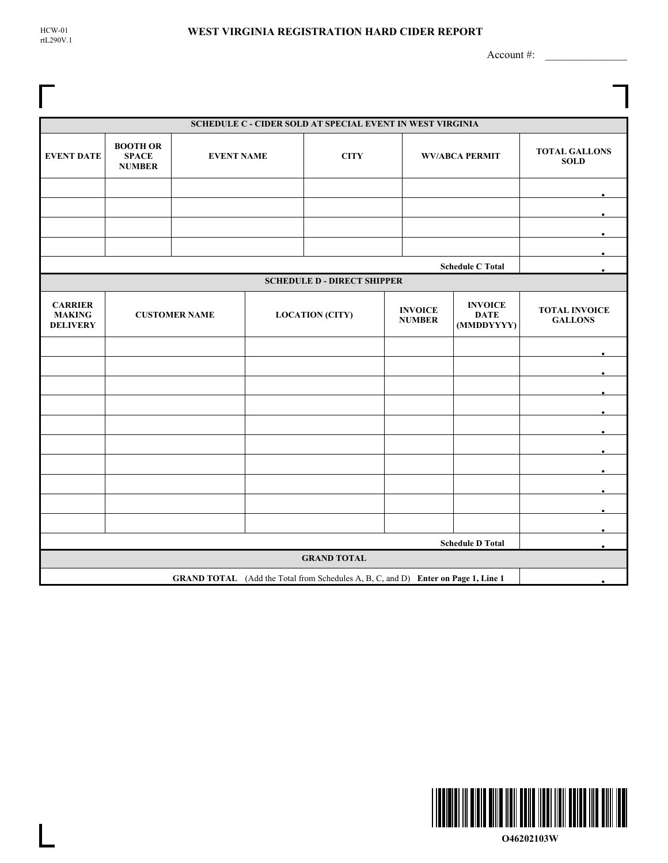Г

## **WEST VIRGINIA REGISTRATION HARD CIDER REPORT**

Account #:  $\qquad$ 

| SCHEDULE C - CIDER SOLD AT SPECIAL EVENT IN WEST VIRGINIA                                |                                                  |                   |  |                                    |                                 |                                             |                                        |  |
|------------------------------------------------------------------------------------------|--------------------------------------------------|-------------------|--|------------------------------------|---------------------------------|---------------------------------------------|----------------------------------------|--|
| <b>EVENT DATE</b>                                                                        | <b>BOOTH OR</b><br><b>SPACE</b><br><b>NUMBER</b> | <b>EVENT NAME</b> |  | <b>CITY</b>                        |                                 | <b>WV/ABCA PERMIT</b>                       | <b>TOTAL GALLONS</b><br><b>SOLD</b>    |  |
|                                                                                          |                                                  |                   |  |                                    |                                 |                                             |                                        |  |
|                                                                                          |                                                  |                   |  |                                    |                                 |                                             |                                        |  |
|                                                                                          |                                                  |                   |  |                                    |                                 |                                             |                                        |  |
|                                                                                          |                                                  |                   |  |                                    |                                 | <b>Schedule C Total</b>                     |                                        |  |
|                                                                                          |                                                  |                   |  | <b>SCHEDULE D - DIRECT SHIPPER</b> |                                 |                                             |                                        |  |
| <b>CARRIER</b><br><b>MAKING</b><br><b>DELIVERY</b>                                       | <b>CUSTOMER NAME</b>                             |                   |  | <b>LOCATION (CITY)</b>             | <b>INVOICE</b><br><b>NUMBER</b> | <b>INVOICE</b><br><b>DATE</b><br>(MMDDYYYY) | <b>TOTAL INVOICE</b><br><b>GALLONS</b> |  |
|                                                                                          |                                                  |                   |  |                                    |                                 |                                             |                                        |  |
|                                                                                          |                                                  |                   |  |                                    |                                 |                                             |                                        |  |
|                                                                                          |                                                  |                   |  |                                    |                                 |                                             |                                        |  |
|                                                                                          |                                                  |                   |  |                                    |                                 |                                             |                                        |  |
|                                                                                          |                                                  |                   |  |                                    |                                 |                                             |                                        |  |
|                                                                                          |                                                  |                   |  |                                    |                                 |                                             |                                        |  |
|                                                                                          |                                                  |                   |  |                                    |                                 |                                             |                                        |  |
|                                                                                          |                                                  |                   |  |                                    |                                 |                                             |                                        |  |
|                                                                                          |                                                  |                   |  |                                    |                                 |                                             |                                        |  |
| <b>Schedule D Total</b><br>$\bullet$<br><b>GRAND TOTAL</b>                               |                                                  |                   |  |                                    |                                 |                                             |                                        |  |
| <b>GRAND TOTAL</b> (Add the Total from Schedules A, B, C, and D) Enter on Page 1, Line 1 |                                                  |                   |  |                                    |                                 |                                             |                                        |  |